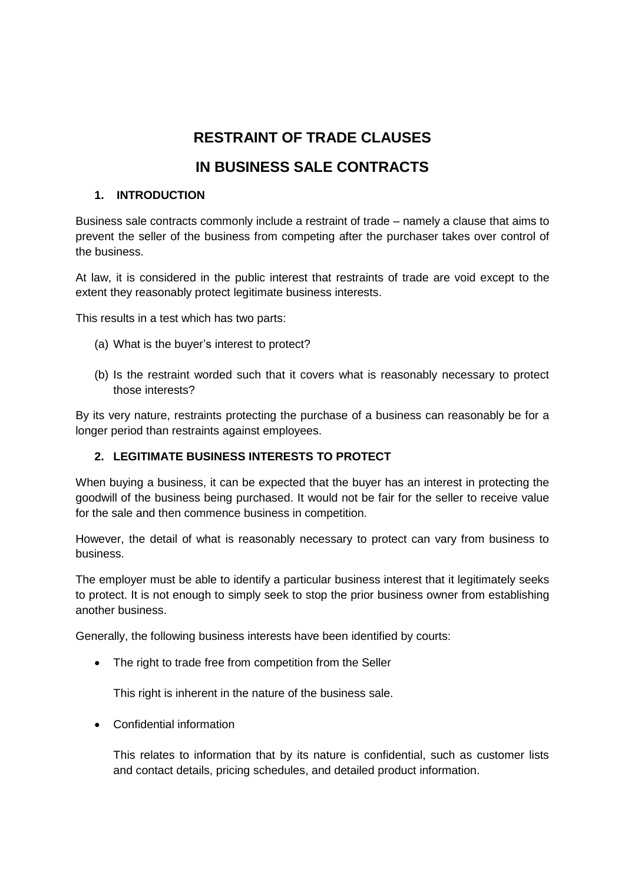# **RESTRAINT OF TRADE CLAUSES**

# **IN BUSINESS SALE CONTRACTS**

## **1. INTRODUCTION**

Business sale contracts commonly include a restraint of trade – namely a clause that aims to prevent the seller of the business from competing after the purchaser takes over control of the business.

At law, it is considered in the public interest that restraints of trade are void except to the extent they reasonably protect legitimate business interests.

This results in a test which has two parts:

- (a) What is the buyer's interest to protect?
- (b) Is the restraint worded such that it covers what is reasonably necessary to protect those interests?

By its very nature, restraints protecting the purchase of a business can reasonably be for a longer period than restraints against employees.

## **2. LEGITIMATE BUSINESS INTERESTS TO PROTECT**

When buying a business, it can be expected that the buyer has an interest in protecting the goodwill of the business being purchased. It would not be fair for the seller to receive value for the sale and then commence business in competition.

However, the detail of what is reasonably necessary to protect can vary from business to business.

The employer must be able to identify a particular business interest that it legitimately seeks to protect. It is not enough to simply seek to stop the prior business owner from establishing another business.

Generally, the following business interests have been identified by courts:

• The right to trade free from competition from the Seller

This right is inherent in the nature of the business sale.

Confidential information

This relates to information that by its nature is confidential, such as customer lists and contact details, pricing schedules, and detailed product information.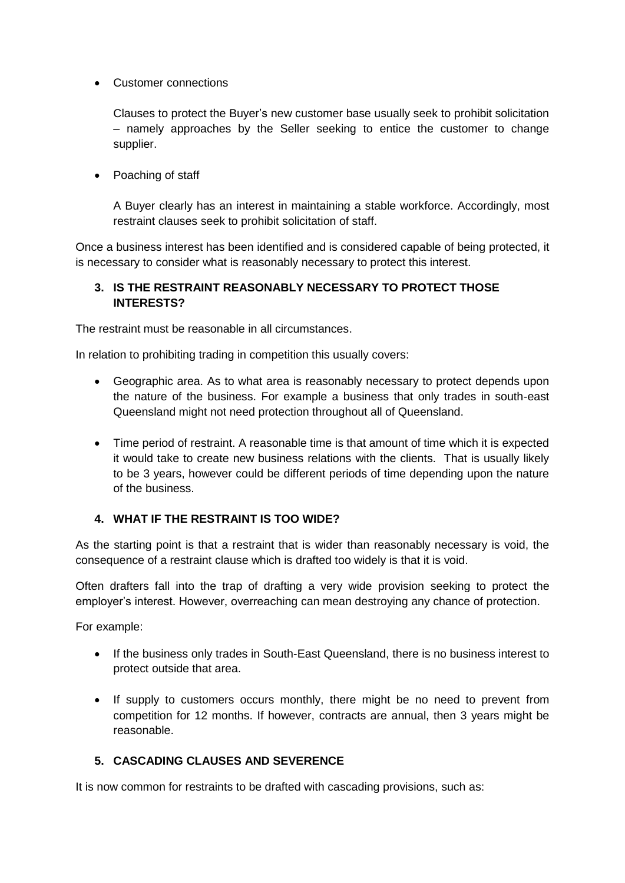Customer connections

Clauses to protect the Buyer's new customer base usually seek to prohibit solicitation – namely approaches by the Seller seeking to entice the customer to change supplier.

• Poaching of staff

A Buyer clearly has an interest in maintaining a stable workforce. Accordingly, most restraint clauses seek to prohibit solicitation of staff.

Once a business interest has been identified and is considered capable of being protected, it is necessary to consider what is reasonably necessary to protect this interest.

#### **3. IS THE RESTRAINT REASONABLY NECESSARY TO PROTECT THOSE INTERESTS?**

The restraint must be reasonable in all circumstances.

In relation to prohibiting trading in competition this usually covers:

- Geographic area. As to what area is reasonably necessary to protect depends upon the nature of the business. For example a business that only trades in south-east Queensland might not need protection throughout all of Queensland.
- Time period of restraint. A reasonable time is that amount of time which it is expected it would take to create new business relations with the clients. That is usually likely to be 3 years, however could be different periods of time depending upon the nature of the business.

#### **4. WHAT IF THE RESTRAINT IS TOO WIDE?**

As the starting point is that a restraint that is wider than reasonably necessary is void, the consequence of a restraint clause which is drafted too widely is that it is void.

Often drafters fall into the trap of drafting a very wide provision seeking to protect the employer's interest. However, overreaching can mean destroying any chance of protection.

For example:

- If the business only trades in South-East Queensland, there is no business interest to protect outside that area.
- If supply to customers occurs monthly, there might be no need to prevent from competition for 12 months. If however, contracts are annual, then 3 years might be reasonable.

## **5. CASCADING CLAUSES AND SEVERENCE**

It is now common for restraints to be drafted with cascading provisions, such as: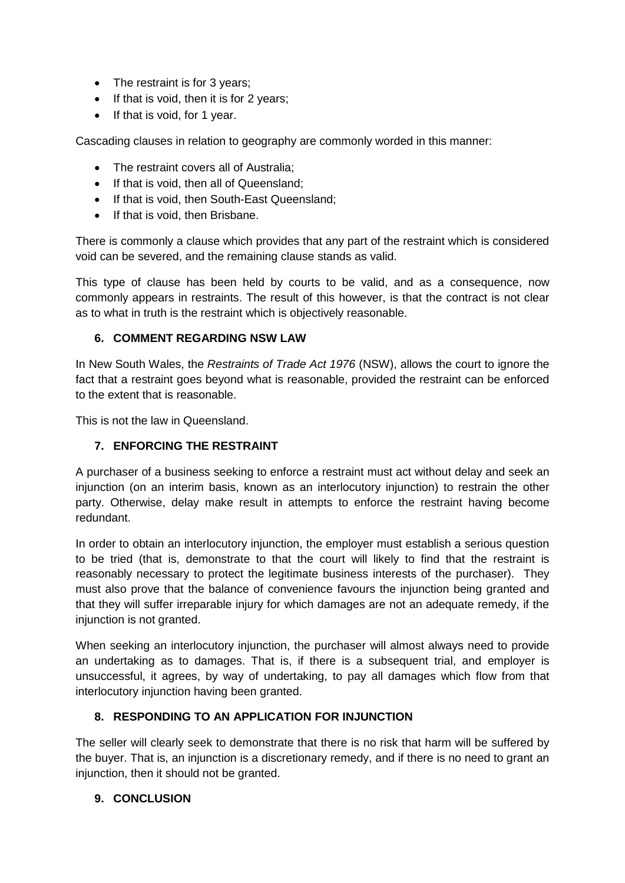- The restraint is for 3 years;
- If that is void, then it is for 2 years;
- If that is void, for 1 year.

Cascading clauses in relation to geography are commonly worded in this manner:

- The restraint covers all of Australia:
- If that is void, then all of Queensland;
- If that is void, then South-East Queensland;
- If that is void, then Brisbane.

There is commonly a clause which provides that any part of the restraint which is considered void can be severed, and the remaining clause stands as valid.

This type of clause has been held by courts to be valid, and as a consequence, now commonly appears in restraints. The result of this however, is that the contract is not clear as to what in truth is the restraint which is objectively reasonable.

## **6. COMMENT REGARDING NSW LAW**

In New South Wales, the *Restraints of Trade Act 1976* (NSW), allows the court to ignore the fact that a restraint goes beyond what is reasonable, provided the restraint can be enforced to the extent that is reasonable.

This is not the law in Queensland.

## **7. ENFORCING THE RESTRAINT**

A purchaser of a business seeking to enforce a restraint must act without delay and seek an injunction (on an interim basis, known as an interlocutory injunction) to restrain the other party. Otherwise, delay make result in attempts to enforce the restraint having become redundant.

In order to obtain an interlocutory injunction, the employer must establish a serious question to be tried (that is, demonstrate to that the court will likely to find that the restraint is reasonably necessary to protect the legitimate business interests of the purchaser). They must also prove that the balance of convenience favours the injunction being granted and that they will suffer irreparable injury for which damages are not an adequate remedy, if the injunction is not granted.

When seeking an interlocutory injunction, the purchaser will almost always need to provide an undertaking as to damages. That is, if there is a subsequent trial, and employer is unsuccessful, it agrees, by way of undertaking, to pay all damages which flow from that interlocutory injunction having been granted.

## **8. RESPONDING TO AN APPLICATION FOR INJUNCTION**

The seller will clearly seek to demonstrate that there is no risk that harm will be suffered by the buyer. That is, an injunction is a discretionary remedy, and if there is no need to grant an injunction, then it should not be granted.

## **9. CONCLUSION**